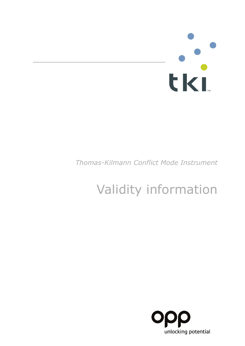# 

# *Thomas-Kilmann Conflict Mode Instrument*

# Validity information